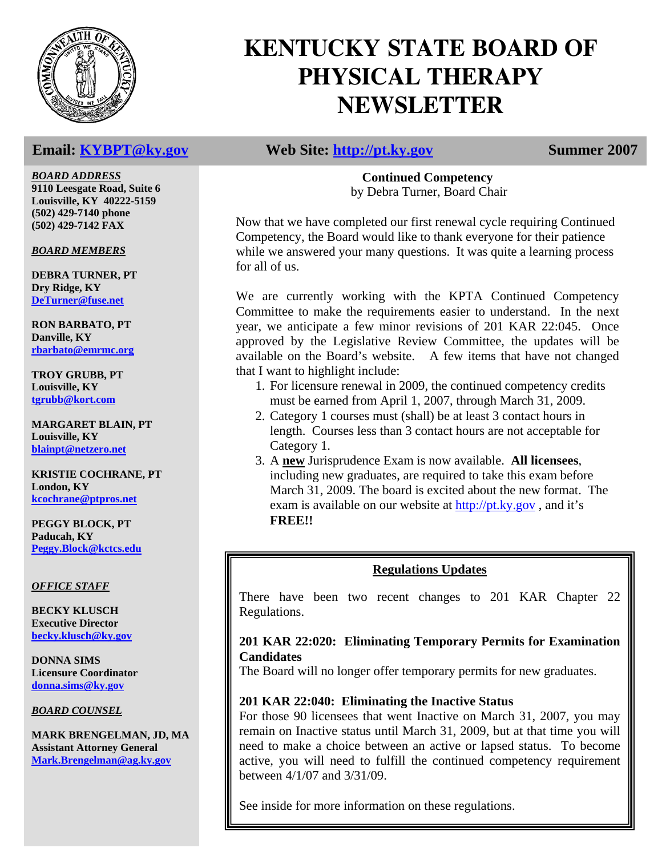

*BOARD ADDRESS* **9110 Leesgate Road, Suite 6** 

**Louisville, KY 40222-5159 (502) 429-7140 phone (502) 429-7142 FAX** 

*BOARD MEMBERS*

**DEBRA TURNER, PT Dry Ridge, KY DeTurner@fuse.net**

**RON BARBATO, PT Danville, KY rbarbato@emrmc.org**

**TROY GRUBB, PT Louisville, KY tgrubb@kort.com**

**MARGARET BLAIN, PT Louisville, KY blainpt@netzero.net**

**KRISTIE COCHRANE, PT London, KY kcochrane@ptpros.net**

**PEGGY BLOCK, PT Paducah, KY Peggy.Block@kctcs.edu**

### *OFFICE STAFF*

**BECKY KLUSCH Executive Director becky.klusch@ky.gov**

**DONNA SIMS Licensure Coordinator donna.sims@ky.gov**

*BOARD COUNSEL*

**MARK BRENGELMAN, JD, MA Assistant Attorney General Mark.Brengelman@ag.ky.gov**

# **KENTUCKY STATE BOARD OF PHYSICAL THERAPY NEWSLETTER**

**Email:** KYBPT@ky.gov Web Site: http://pt.ky.gov Summer 2007

**Continued Competency**  by Debra Turner, Board Chair

Now that we have completed our first renewal cycle requiring Continued Competency, the Board would like to thank everyone for their patience while we answered your many questions. It was quite a learning process for all of us.

We are currently working with the KPTA Continued Competency Committee to make the requirements easier to understand. In the next year, we anticipate a few minor revisions of 201 KAR 22:045. Once approved by the Legislative Review Committee, the updates will be available on the Board's website. A few items that have not changed that I want to highlight include:

- 1. For licensure renewal in 2009, the continued competency credits must be earned from April 1, 2007, through March 31, 2009.
- 2. Category 1 courses must (shall) be at least 3 contact hours in length. Courses less than 3 contact hours are not acceptable for Category 1.
- 3. A **new** Jurisprudence Exam is now available. **All licensees**, including new graduates, are required to take this exam before March 31, 2009. The board is excited about the new format. The exam is available on our website at http://pt.ky.gov , and it's **FREE!!**

### **Regulations Updates**

There have been two recent changes to 201 KAR Chapter 22 Regulations.

### **201 KAR 22:020: Eliminating Temporary Permits for Examination Candidates**

The Board will no longer offer temporary permits for new graduates.

### **201 KAR 22:040: Eliminating the Inactive Status**

For those 90 licensees that went Inactive on March 31, 2007, you may remain on Inactive status until March 31, 2009, but at that time you will need to make a choice between an active or lapsed status. To become active, you will need to fulfill the continued competency requirement between 4/1/07 and 3/31/09.

See inside for more information on these regulations.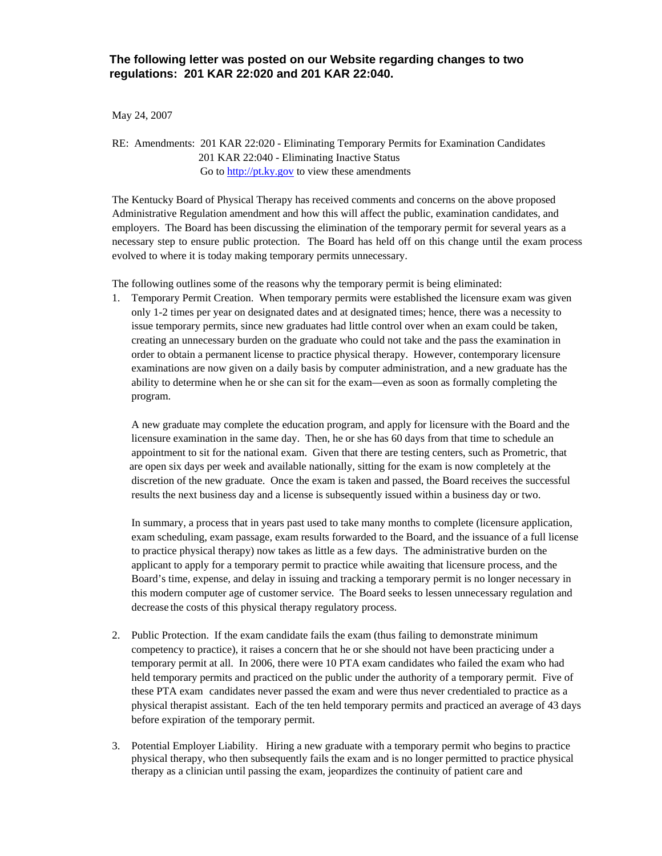May 24, 2007

RE: Amendments: 201 KAR 22:020 - Eliminating Temporary Permits for Examination Candidates 201 KAR 22:040 - Eliminating Inactive Status Go to http://pt.ky.gov to view these amendments

The Kentucky Board of Physical Therapy has received comments and concerns on the above proposed Administrative Regulation amendment and how this will affect the public, examination candidates, and employers. The Board has been discussing the elimination of the temporary permit for several years as a necessary step to ensure public protection. The Board has held off on this change until the exam process evolved to where it is today making temporary permits unnecessary.

The following outlines some of the reasons why the temporary permit is being eliminated:

1. Temporary Permit Creation. When temporary permits were established the licensure exam was given only 1-2 times per year on designated dates and at designated times; hence, there was a necessity to issue temporary permits, since new graduates had little control over when an exam could be taken, creating an unnecessary burden on the graduate who could not take and the pass the examination in order to obtain a permanent license to practice physical therapy. However, contemporary licensure examinations are now given on a daily basis by computer administration, and a new graduate has the ability to determine when he or she can sit for the exam—even as soon as formally completing the program.

 A new graduate may complete the education program, and apply for licensure with the Board and the licensure examination in the same day. Then, he or she has 60 days from that time to schedule an appointment to sit for the national exam. Given that there are testing centers, such as Prometric, that are open six days per week and available nationally, sitting for the exam is now completely at the discretion of the new graduate. Once the exam is taken and passed, the Board receives the successful results the next business day and a license is subsequently issued within a business day or two.

 In summary, a process that in years past used to take many months to complete (licensure application, exam scheduling, exam passage, exam results forwarded to the Board, and the issuance of a full license to practice physical therapy) now takes as little as a few days. The administrative burden on the applicant to apply for a temporary permit to practice while awaiting that licensure process, and the Board's time, expense, and delay in issuing and tracking a temporary permit is no longer necessary in this modern computer age of customer service. The Board seeks to lessen unnecessary regulation and decrease the costs of this physical therapy regulatory process.

- 2. Public Protection. If the exam candidate fails the exam (thus failing to demonstrate minimum competency to practice), it raises a concern that he or she should not have been practicing under a temporary permit at all. In 2006, there were 10 PTA exam candidates who failed the exam who had held temporary permits and practiced on the public under the authority of a temporary permit. Five of these PTA exam candidates never passed the exam and were thus never credentialed to practice as a physical therapist assistant. Each of the ten held temporary permits and practiced an average of 43 days before expiration of the temporary permit.
- 3. Potential Employer Liability. Hiring a new graduate with a temporary permit who begins to practice physical therapy, who then subsequently fails the exam and is no longer permitted to practice physical therapy as a clinician until passing the exam, jeopardizes the continuity of patient care and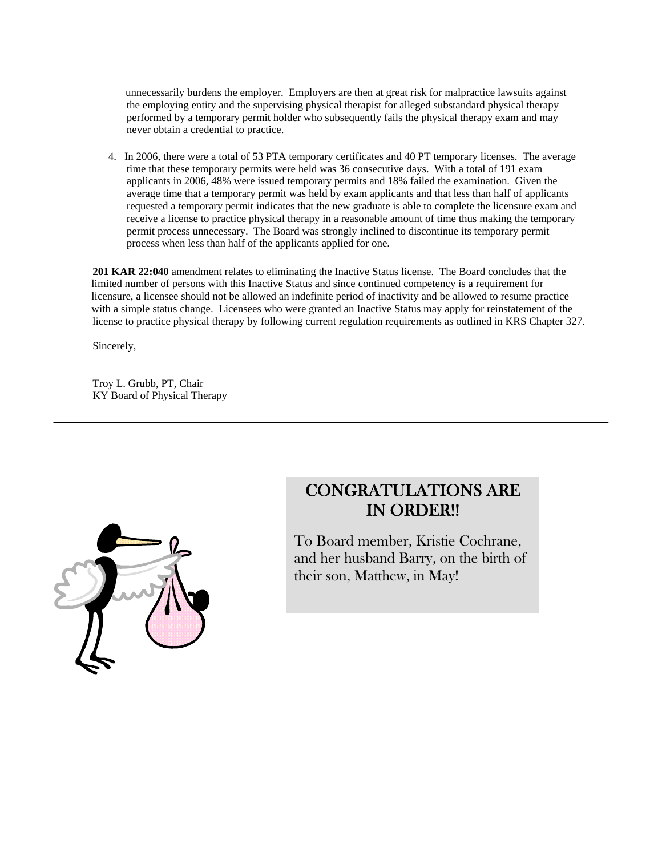unnecessarily burdens the employer. Employers are then at great risk for malpractice lawsuits against the employing entity and the supervising physical therapist for alleged substandard physical therapy performed by a temporary permit holder who subsequently fails the physical therapy exam and may never obtain a credential to practice.

 4. In 2006, there were a total of 53 PTA temporary certificates and 40 PT temporary licenses. The average time that these temporary permits were held was 36 consecutive days. With a total of 191 exam applicants in 2006, 48% were issued temporary permits and 18% failed the examination. Given the average time that a temporary permit was held by exam applicants and that less than half of applicants requested a temporary permit indicates that the new graduate is able to complete the licensure exam and receive a license to practice physical therapy in a reasonable amount of time thus making the temporary permit process unnecessary. The Board was strongly inclined to discontinue its temporary permit process when less than half of the applicants applied for one.

**201 KAR 22:040** amendment relates to eliminating the Inactive Status license. The Board concludes that the limited number of persons with this Inactive Status and since continued competency is a requirement for licensure, a licensee should not be allowed an indefinite period of inactivity and be allowed to resume practice with a simple status change. Licensees who were granted an Inactive Status may apply for reinstatement of the license to practice physical therapy by following current regulation requirements as outlined in KRS Chapter 327.

Sincerely,

 Troy L. Grubb, PT, Chair KY Board of Physical Therapy



# CONGRATULATIONS ARE IN ORDER!!

To Board member, Kristie Cochrane, and her husband Barry, on the birth of their son, Matthew, in May!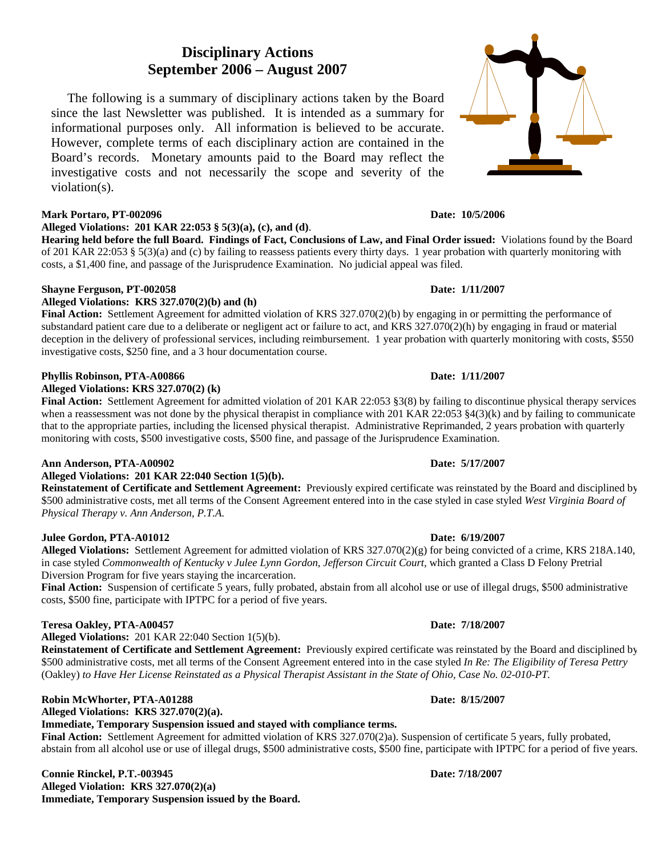## **Disciplinary Actions September 2006 – August 2007**

 The following is a summary of disciplinary actions taken by the Board since the last Newsletter was published. It is intended as a summary for informational purposes only. All information is believed to be accurate. However, complete terms of each disciplinary action are contained in the Board's records. Monetary amounts paid to the Board may reflect the investigative costs and not necessarily the scope and severity of the violation(s).

### **Mark Portaro, PT-002096 Date: 10/5/2006**

**Alleged Violations: 201 KAR 22:053 § 5(3)(a), (c), and (d)**.

**Hearing held before the full Board. Findings of Fact, Conclusions of Law, and Final Order issued:** Violations found by the Board of 201 KAR 22:053 § 5(3)(a) and (c) by failing to reassess patients every thirty days. 1 year probation with quarterly monitoring with costs, a \$1,400 fine, and passage of the Jurisprudence Examination. No judicial appeal was filed.

#### **Shayne Ferguson, PT-002058 Date: 1/11/2007**

#### **Alleged Violations: KRS 327.070(2)(b) and (h)**

**Final Action:** Settlement Agreement for admitted violation of KRS 327.070(2)(b) by engaging in or permitting the performance of substandard patient care due to a deliberate or negligent act or failure to act, and KRS 327.070(2)(h) by engaging in fraud or material deception in the delivery of professional services, including reimbursement. 1 year probation with quarterly monitoring with costs, \$550 investigative costs, \$250 fine, and a 3 hour documentation course.

#### **Phyllis Robinson, PTA-A00866 Date: 1/11/2007 Date: 1/11/2007**

**Alleged Violations: KRS 327.070(2) (k)** 

**Final Action:** Settlement Agreement for admitted violation of 201 KAR 22:053 §3(8) by failing to discontinue physical therapy services when a reassessment was not done by the physical therapist in compliance with 201 KAR 22:053 §4(3)(k) and by failing to communicate that to the appropriate parties, including the licensed physical therapist. Administrative Reprimanded, 2 years probation with quarterly monitoring with costs, \$500 investigative costs, \$500 fine, and passage of the Jurisprudence Examination.

#### **Ann Anderson, PTA-A00902 Date: 5/17/2007**

**Alleged Violations: 201 KAR 22:040 Section 1(5)(b).**

**Reinstatement of Certificate and Settlement Agreement:** Previously expired certificate was reinstated by the Board and disciplined by \$500 administrative costs, met all terms of the Consent Agreement entered into in the case styled in case styled *West Virginia Board of Physical Therapy v. Ann Anderson, P.T.A.* 

### **Julee Gordon, PTA-A01012 Date: 6/19/2007**

**Alleged Violations:** Settlement Agreement for admitted violation of KRS 327.070(2)(g) for being convicted of a crime, KRS 218A.140, in case styled *Commonwealth of Kentucky v Julee Lynn Gordon, Jefferson Circuit Court,* which granted a Class D Felony Pretrial Diversion Program for five years staying the incarceration.

**Final Action:** Suspension of certificate 5 years, fully probated, abstain from all alcohol use or use of illegal drugs, \$500 administrative costs, \$500 fine, participate with IPTPC for a period of five years.

### **Teresa Oakley, PTA-A00457 Date: 7/18/2007**

**Alleged Violations:** 201 KAR 22:040 Section 1(5)(b).

**Reinstatement of Certificate and Settlement Agreement:** Previously expired certificate was reinstated by the Board and disciplined by \$500 administrative costs, met all terms of the Consent Agreement entered into in the case styled *In Re: The Eligibility of Teresa Pettry*  (Oakley) *to Have Her License Reinstated as a Physical Therapist Assistant in the State of Ohio, Case No. 02-010-PT.* 

#### **Robin McWhorter, PTA-A01288 Date: 8/15/2007**

**Alleged Violations: KRS 327.070(2)(a).**

**Immediate, Temporary Suspension issued and stayed with compliance terms.** 

Final Action: Settlement Agreement for admitted violation of KRS 327.070(2)a). Suspension of certificate 5 years, fully probated, abstain from all alcohol use or use of illegal drugs, \$500 administrative costs, \$500 fine, participate with IPTPC for a period of five years.

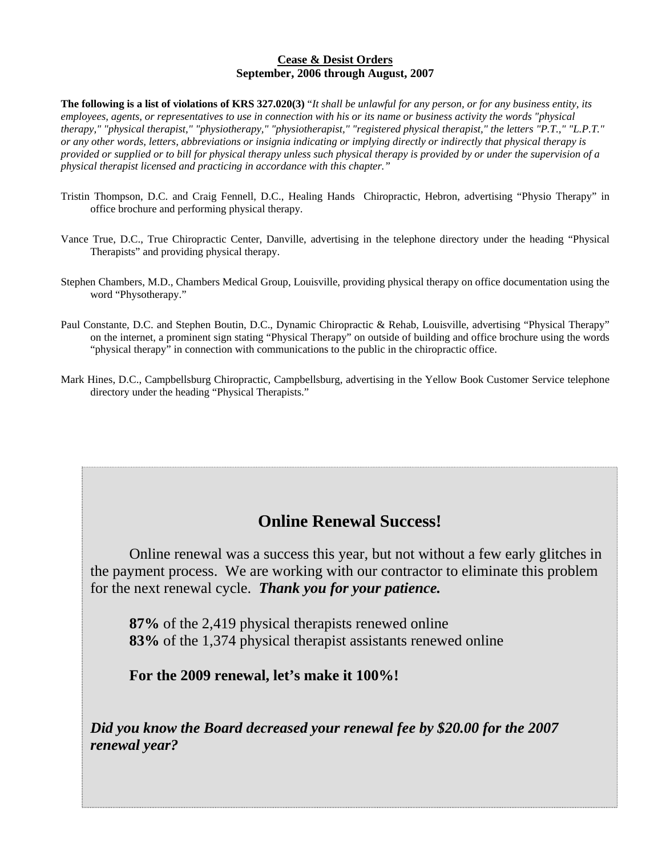#### **Cease & Desist Orders September, 2006 through August, 2007**

**The following is a list of violations of KRS 327.020(3)** "*It shall be unlawful for any person, or for any business entity, its employees, agents, or representatives to use in connection with his or its name or business activity the words "physical therapy," "physical therapist," "physiotherapy," "physiotherapist," "registered physical therapist," the letters "P.T.," "L.P.T." or any other words, letters, abbreviations or insignia indicating or implying directly or indirectly that physical therapy is provided or supplied or to bill for physical therapy unless such physical therapy is provided by or under the supervision of a physical therapist licensed and practicing in accordance with this chapter."* 

- Tristin Thompson, D.C. and Craig Fennell, D.C., Healing Hands Chiropractic, Hebron, advertising "Physio Therapy" in office brochure and performing physical therapy.
- Vance True, D.C., True Chiropractic Center, Danville, advertising in the telephone directory under the heading "Physical Therapists" and providing physical therapy.
- Stephen Chambers, M.D., Chambers Medical Group, Louisville, providing physical therapy on office documentation using the word "Physotherapy."
- Paul Constante, D.C. and Stephen Boutin, D.C., Dynamic Chiropractic & Rehab, Louisville, advertising "Physical Therapy" on the internet, a prominent sign stating "Physical Therapy" on outside of building and office brochure using the words "physical therapy" in connection with communications to the public in the chiropractic office.
- Mark Hines, D.C., Campbellsburg Chiropractic, Campbellsburg, advertising in the Yellow Book Customer Service telephone directory under the heading "Physical Therapists."

# **Online Renewal Success!**

 Online renewal was a success this year, but not without a few early glitches in the payment process. We are working with our contractor to eliminate this problem for the next renewal cycle. *Thank you for your patience.* 

**87%** of the 2,419 physical therapists renewed online **83%** of the 1,374 physical therapist assistants renewed online

**For the 2009 renewal, let's make it 100%!** 

*Did you know the Board decreased your renewal fee by \$20.00 for the 2007 renewal year?*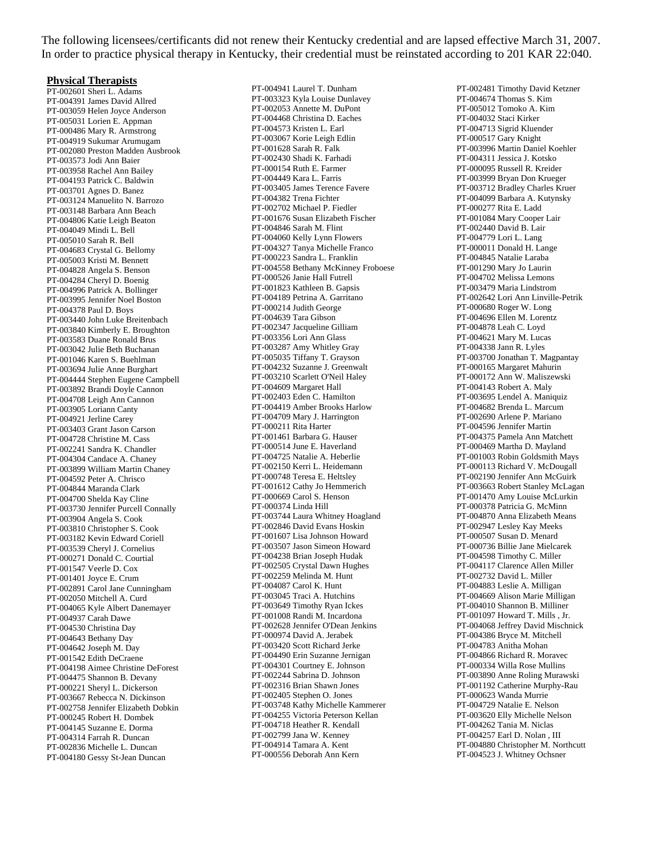The following licensees/certificants did not renew their Kentucky credential and are lapsed effective March 31, 2007. In order to practice physical therapy in Kentucky, their credential must be reinstated according to 201 KAR 22:040.

#### **Physical Therapists**

PT-002601 Sheri L. Adams PT-004391 James David Allred PT-003059 Helen Joyce Anderson PT-005031 Lorien E. Appman PT-000486 Mary R. Armstrong PT-004919 Sukumar Arumugam PT-002080 Preston Madden Ausbrook PT-003573 Jodi Ann Baier PT-003958 Rachel Ann Bailey PT-004193 Patrick C. Baldwin PT-003701 Agnes D. Banez PT-003124 Manuelito N. Barrozo PT-003148 Barbara Ann Beach PT-004806 Katie Leigh Beaton PT-004049 Mindi L. Bell PT-005010 Sarah R. Bell PT-004683 Crystal G. Bellomy PT-005003 Kristi M. Bennett PT-004828 Angela S. Benson PT-004284 Cheryl D. Boenig PT-004996 Patrick A. Bollinger PT-003995 Jennifer Noel Boston PT-004378 Paul D. Boys PT-003440 John Luke Breitenbach PT-003840 Kimberly E. Broughton PT-003583 Duane Ronald Brus PT-003042 Julie Beth Buchanan PT-001046 Karen S. Buehlman PT-003694 Julie Anne Burghart PT-004444 Stephen Eugene Campbell PT-003892 Brandi Doyle Cannon PT-004708 Leigh Ann Cannon PT-003905 Loriann Canty PT-004921 Jerline Carey PT-003403 Grant Jason Carson PT-004728 Christine M. Cass PT-002241 Sandra K. Chandler PT-004304 Candace A. Chaney PT-003899 William Martin Chaney PT-004592 Peter A. Chrisco PT-004844 Maranda Clark PT-004700 Shelda Kay Cline PT-003730 Jennifer Purcell Connally PT-003904 Angela S. Cook PT-003810 Christopher S. Cook PT-003182 Kevin Edward Coriell PT-003539 Cheryl J. Cornelius PT-000271 Donald C. Courtial PT-001547 Veerle D. Cox PT-001401 Joyce E. Crum PT-002891 Carol Jane Cunningham PT-002050 Mitchell A. Curd PT-004065 Kyle Albert Danemayer PT-004937 Carah Dawe PT-004530 Christina Day PT-004643 Bethany Day PT-004642 Joseph M. Day PT-001542 Edith DeCraene PT-004198 Aimee Christine DeForest PT-004475 Shannon B. Devany PT-000221 Sheryl L. Dickerson PT-003667 Rebecca N. Dickinson PT-002758 Jennifer Elizabeth Dobkin PT-000245 Robert H. Dombek PT-004145 Suzanne E. Dorma PT-004314 Farrah R. Duncan PT-002836 Michelle L. Duncan PT-004180 Gessy St-Jean Duncan

PT-004941 Laurel T. Dunham PT-003323 Kyla Louise Dunlavey PT-002053 Annette M. DuPont PT-004468 Christina D. Eaches PT-004573 Kristen L. Earl PT-003067 Korie Leigh Edlin PT-001628 Sarah R. Falk PT-002430 Shadi K. Farhadi PT-000154 Ruth E. Farmer PT-004449 Kara L. Farris PT-003405 James Terence Favere PT-004382 Trena Fichter PT-002702 Michael P. Fiedler PT-001676 Susan Elizabeth Fischer PT-004846 Sarah M. Flint PT-004060 Kelly Lynn Flowers PT-004327 Tanya Michelle Franco PT-000223 Sandra L. Franklin PT-004558 Bethany McKinney Froboese PT-000526 Janie Hall Futrell PT-001823 Kathleen B. Gapsis PT-004189 Petrina A. Garritano PT-000214 Judith George PT-004639 Tara Gibson PT-002347 Jacqueline Gilliam PT-003356 Lori Ann Glass PT-003287 Amy Whitley Gray PT-005035 Tiffany T. Grayson PT-004232 Suzanne J. Greenwalt PT-003210 Scarlett O'Neil Haley PT-004609 Margaret Hall PT-002403 Eden C. Hamilton PT-004419 Amber Brooks Harlow PT-004709 Mary J. Harrington PT-000211 Rita Harter PT-001461 Barbara G. Hauser PT-000514 June E. Haverland PT-004725 Natalie A. Heberlie PT-002150 Kerri L. Heidemann PT-000748 Teresa E. Heltsley PT-001612 Cathy Jo Hemmerich PT-000669 Carol S. Henson PT-000374 Linda Hill PT-003744 Laura Whitney Hoagland PT-002846 David Evans Hoskin PT-001607 Lisa Johnson Howard PT-003507 Jason Simeon Howard PT-004238 Brian Joseph Hudak PT-002505 Crystal Dawn Hughes PT-002259 Melinda M. Hunt PT-004087 Carol K. Hunt PT-003045 Traci A. Hutchins PT-003649 Timothy Ryan Ickes PT-001008 Randi M. Incardona PT-002628 Jennifer O'Dean Jenkins PT-000974 David A. Jerabek PT-003420 Scott Richard Jerke PT-004490 Erin Suzanne Jernigan PT-004301 Courtney E. Johnson PT-002244 Sabrina D. Johnson PT-002316 Brian Shawn Jones PT-002405 Stephen O. Jones PT-003748 Kathy Michelle Kammerer PT-004255 Victoria Peterson Kellan PT-004718 Heather R. Kendall PT-002799 Jana W. Kenney PT-004914 Tamara A. Kent PT-000556 Deborah Ann Kern

PT-002481 Timothy David Ketzner PT-004674 Thomas S. Kim PT-005012 Tomoko A. Kim PT-004032 Staci Kirker PT-004713 Sigrid Kluender PT-000517 Gary Knight PT-003996 Martin Daniel Koehler PT-004311 Jessica J. Kotsko PT-000095 Russell R. Kreider PT-003999 Bryan Don Krueger PT-003712 Bradley Charles Kruer PT-004099 Barbara A. Kutynsky PT-000277 Rita E. Ladd PT-001084 Mary Cooper Lair PT-002440 David B. Lair PT-004779 Lori L. Lang PT-000011 Donald H. Lange PT-004845 Natalie Laraba PT-001290 Mary Jo Laurin PT-004702 Melissa Lemons PT-003479 Maria Lindstrom PT-002642 Lori Ann Linville-Petrik PT-000680 Roger W. Long PT-004696 Ellen M. Lorentz PT-004878 Leah C. Loyd PT-004621 Mary M. Lucas PT-004338 Jann R. Lyles PT-003700 Jonathan T. Magpantay PT-000165 Margaret Mahurin PT-000172 Ann W. Maliszewski PT-004143 Robert A. Maly PT-003695 Lendel A. Maniquiz PT-004682 Brenda L. Marcum PT-002690 Arlene P. Mariano PT-004596 Jennifer Martin PT-004375 Pamela Ann Matchett PT-000469 Martha D. Mayland PT-001003 Robin Goldsmith Mays PT-000113 Richard V. McDougall PT-002190 Jennifer Ann McGuirk PT-003663 Robert Stanley McLagan PT-001470 Amy Louise McLurkin PT-000378 Patricia G. McMinn PT-004870 Anna Elizabeth Means PT-002947 Lesley Kay Meeks PT-000507 Susan D. Menard PT-000736 Billie Jane Mielcarek PT-004598 Timothy C. Miller PT-004117 Clarence Allen Miller PT-002732 David L. Miller PT-004883 Leslie A. Milligan PT-004669 Alison Marie Milligan PT-004010 Shannon B. Milliner PT-001097 Howard T. Mills , Jr. PT-004068 Jeffrey David Mischnick PT-004386 Bryce M. Mitchell PT-004783 Anitha Mohan PT-004866 Richard R. Moravec PT-000334 Willa Rose Mullins PT-003890 Anne Roling Murawski PT-001192 Catherine Murphy-Rau PT-000623 Wanda Murrie PT-004729 Natalie E. Nelson PT-003620 Elly Michelle Nelson PT-004262 Tania M. Niclas PT-004257 Earl D. Nolan , III PT-004880 Christopher M. Northcutt PT-004523 J. Whitney Ochsner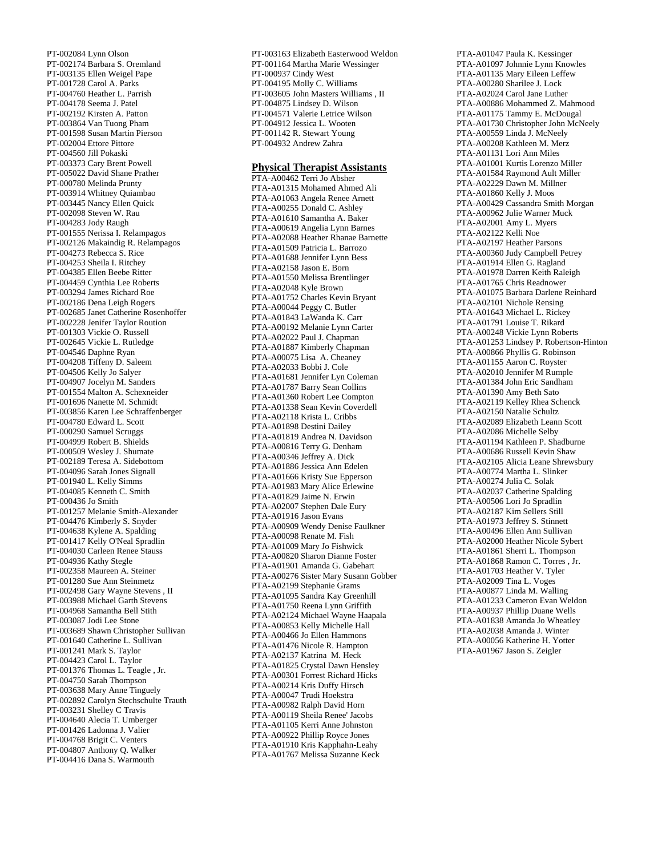PT-002084 Lynn Olson PT-002174 Barbara S. Oremland PT-003135 Ellen Weigel Pape PT-001728 Carol A. Parks PT-004760 Heather L. Parrish PT-004178 Seema J. Patel PT-002192 Kirsten A. Patton PT-003864 Van Tuong Pham PT-001598 Susan Martin Pierson PT-002004 Ettore Pittore PT-004560 Jill Pokaski PT-003373 Cary Brent Powell PT-005022 David Shane Prather PT-000780 Melinda Prunty PT-003914 Whitney Quiambao PT-003445 Nancy Ellen Quick PT-002098 Steven W. Rau PT-004283 Jody Raugh PT-001555 Nerissa I. Relampagos PT-002126 Makaindig R. Relampagos PT-004273 Rebecca S. Rice PT-004253 Sheila I. Ritchey PT-004385 Ellen Beebe Ritter PT-004459 Cynthia Lee Roberts PT-003294 James Richard Roe PT-002186 Dena Leigh Rogers PT-002685 Janet Catherine Rosenhoffer PT-002228 Jenifer Taylor Roution PT-001303 Vickie O. Russell PT-002645 Vickie L. Rutledge PT-004546 Daphne Ryan PT-004208 Tiffeny D. Saleem PT-004506 Kelly Jo Salyer PT-004907 Jocelyn M. Sanders PT-001554 Malton A. Schexneider PT-001696 Nanette M. Schmidt PT-003856 Karen Lee Schraffenberger PT-004780 Edward L. Scott PT-000290 Samuel Scruggs PT-004999 Robert B. Shields PT-000509 Wesley J. Shumate PT-002189 Teresa A. Sidebottom PT-004096 Sarah Jones Signall PT-001940 L. Kelly Simms PT-004085 Kenneth C. Smith PT-000436 Jo Smith PT-001257 Melanie Smith-Alexander PT-004476 Kimberly S. Snyder PT-004638 Kylene A. Spalding PT-001417 Kelly O'Neal Spradlin PT-004030 Carleen Renee Stauss PT-004936 Kathy Stegle PT-002358 Maureen A. Steiner PT-001280 Sue Ann Steinmetz PT-002498 Gary Wayne Stevens , II PT-003988 Michael Garth Stevens PT-004968 Samantha Bell Stith PT-003087 Jodi Lee Stone PT-003689 Shawn Christopher Sullivan PT-001640 Catherine L. Sullivan PT-001241 Mark S. Taylor PT-004423 Carol L. Taylor PT-001376 Thomas L. Teagle , Jr. PT-004750 Sarah Thompson PT-003638 Mary Anne Tinguely PT-002892 Carolyn Stechschulte Trauth PT-003231 Shelley C Travis PT-004640 Alecia T. Umberger PT-001426 Ladonna J. Valier PT-004768 Brigit C. Venters PT-004807 Anthony Q. Walker PT-004416 Dana S. Warmouth

PT-003163 Elizabeth Easterwood Weldon PT-001164 Martha Marie Wessinger PT-000937 Cindy West PT-004195 Molly C. Williams PT-003605 John Masters Williams , II PT-004875 Lindsey D. Wilson PT-004571 Valerie Letrice Wilson PT-004912 Jessica L. Wooten PT-001142 R. Stewart Young PT-004932 Andrew Zahra

#### **Physical Therapist Assistants**

PTA-A00462 Terri Jo Absher PTA-A01315 Mohamed Ahmed Ali PTA-A01063 Angela Renee Arnett PTA-A00255 Donald C. Ashley PTA-A01610 Samantha A. Baker PTA-A00619 Angelia Lynn Barnes PTA-A02088 Heather Rhanae Barnette PTA-A01509 Patricia L. Barrozo PTA-A01688 Jennifer Lynn Bess PTA-A02158 Jason E. Born PTA-A01550 Melissa Brentlinger PTA-A02048 Kyle Brown PTA-A01752 Charles Kevin Bryant PTA-A00044 Peggy C. Butler PTA-A01843 LaWanda K. Carr PTA-A00192 Melanie Lynn Carter PTA-A02022 Paul J. Chapman PTA-A01887 Kimberly Chapman PTA-A00075 Lisa A. Cheaney PTA-A02033 Bobbi J. Cole PTA-A01681 Jennifer Lyn Coleman PTA-A01787 Barry Sean Collins PTA-A01360 Robert Lee Compton PTA-A01338 Sean Kevin Coverdell PTA-A02118 Krista L. Cribbs PTA-A01898 Destini Dailey PTA-A01819 Andrea N. Davidson PTA-A00816 Terry G. Denham PTA-A00346 Jeffrey A. Dick PTA-A01886 Jessica Ann Edelen PTA-A01666 Kristy Sue Epperson PTA-A01983 Mary Alice Erlewine PTA-A01829 Jaime N. Erwin PTA-A02007 Stephen Dale Eury PTA-A01916 Jason Evans PTA-A00909 Wendy Denise Faulkner PTA-A00098 Renate M. Fish PTA-A01009 Mary Jo Fishwick PTA-A00820 Sharon Dianne Foster PTA-A01901 Amanda G. Gabehart PTA-A00276 Sister Mary Susann Gobber PTA-A02199 Stephanie Grams PTA-A01095 Sandra Kay Greenhill PTA-A01750 Reena Lynn Griffith PTA-A02124 Michael Wayne Haapala PTA-A00853 Kelly Michelle Hall PTA-A00466 Jo Ellen Hammons PTA-A01476 Nicole R. Hampton PTA-A02137 Katrina M. Heck PTA-A01825 Crystal Dawn Hensley PTA-A00301 Forrest Richard Hicks PTA-A00214 Kris Duffy Hirsch PTA-A00047 Trudi Hoekstra PTA-A00982 Ralph David Horn PTA-A00119 Sheila Renee' Jacobs PTA-A01105 Kerri Anne Johnston PTA-A00922 Phillip Royce Jones PTA-A01910 Kris Kapphahn-Leahy PTA-A01767 Melissa Suzanne Keck

PTA-A01047 Paula K. Kessinger PTA-A01097 Johnnie Lynn Knowles PTA-A01135 Mary Eileen Leffew PTA-A00280 Sharilee J. Lock PTA-A02024 Carol Jane Luther PTA-A00886 Mohammed Z. Mahmood PTA-A01175 Tammy E. McDougal PTA-A01730 Christopher John McNeely PTA-A00559 Linda J. McNeely PTA-A00208 Kathleen M. Merz PTA-A01131 Lori Ann Miles PTA-A01001 Kurtis Lorenzo Miller PTA-A01584 Raymond Ault Miller PTA-A02229 Dawn M. Millner PTA-A01860 Kelly J. Moos PTA-A00429 Cassandra Smith Morgan PTA-A00962 Julie Warner Muck PTA-A02001 Amy L. Myers PTA-A02122 Kelli Noe PTA-A02197 Heather Parsons PTA-A00360 Judy Campbell Petrey PTA-A01914 Ellen G. Ragland PTA-A01978 Darren Keith Raleigh PTA-A01765 Chris Readnower PTA-A01075 Barbara Darlene Reinhard PTA-A02101 Nichole Rensing PTA-A01643 Michael L. Rickey PTA-A01791 Louise T. Rikard PTA-A00248 Vickie Lynn Roberts PTA-A01253 Lindsey P. Robertson-Hinton PTA-A00866 Phyllis G. Robinson PTA-A01155 Aaron C. Royster PTA-A02010 Jennifer M Rumple PTA-A01384 John Eric Sandham PTA-A01390 Amy Beth Sato PTA-A02119 Kelley Rhea Schenck PTA-A02150 Natalie Schultz PTA-A02089 Elizabeth Leann Scott PTA-A02086 Michelle Selby PTA-A01194 Kathleen P. Shadburne PTA-A00686 Russell Kevin Shaw PTA-A02105 Alicia Leane Shrewsbury PTA-A00774 Martha L. Slinker PTA-A00274 Julia C. Solak PTA-A02037 Catherine Spalding PTA-A00506 Lori Jo Spradlin PTA-A02187 Kim Sellers Still PTA-A01973 Jeffrey S. Stinnett PTA-A00496 Ellen Ann Sullivan PTA-A02000 Heather Nicole Sybert PTA-A01861 Sherri L. Thompson PTA-A01868 Ramon C. Torres , Jr. PTA-A01703 Heather V. Tyler PTA-A02009 Tina L. Voges PTA-A00877 Linda M. Walling PTA-A01233 Cameron Evan Weldon PTA-A00937 Phillip Duane Wells PTA-A01838 Amanda Jo Wheatley PTA-A02038 Amanda J. Winter PTA-A00056 Katherine H. Yotter PTA-A01967 Jason S. Zeigler